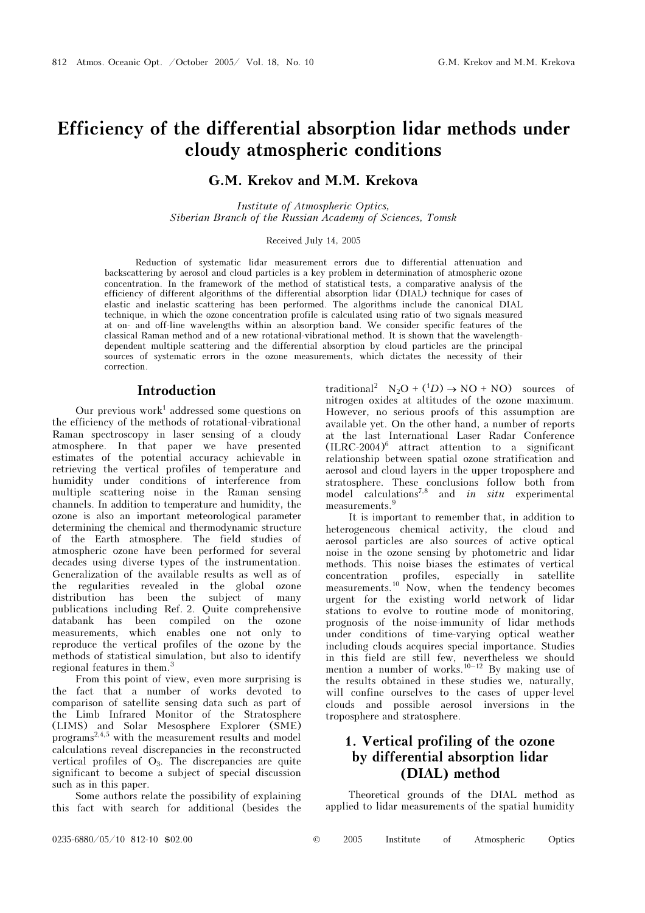# Efficiency of the differential absorption lidar methods under cloudy atmospheric conditions

# G.M. Krekov and M.M. Krekova

Institute of Atmospheric Optics, Siberian Branch of the Russian Academy of Sciences, Tomsk

#### Received July 14, 2005

Reduction of systematic lidar measurement errors due to differential attenuation and backscattering by aerosol and cloud particles is a key problem in determination of atmospheric ozone concentration. In the framework of the method of statistical tests, a comparative analysis of the efficiency of different algorithms of the differential absorption lidar (DIAL) technique for cases of elastic and inelastic scattering has been performed. The algorithms include the canonical DIAL technique, in which the ozone concentration profile is calculated using ratio of two signals measured at on- and off-line wavelengths within an absorption band. We consider specific features of the classical Raman method and of a new rotational-vibrational method. It is shown that the wavelengthdependent multiple scattering and the differential absorption by cloud particles are the principal sources of systematic errors in the ozone measurements, which dictates the necessity of their correction.

### Introduction

Our previous work<sup>1</sup> addressed some questions on the efficiency of the methods of rotational-vibrational Raman spectroscopy in laser sensing of a cloudy atmosphere. In that paper we have presented estimates of the potential accuracy achievable in retrieving the vertical profiles of temperature and humidity under conditions of interference from multiple scattering noise in the Raman sensing channels. In addition to temperature and humidity, the ozone is also an important meteorological parameter determining the chemical and thermodynamic structure of the Earth atmosphere. The field studies of atmospheric ozone have been performed for several decades using diverse types of the instrumentation. Generalization of the available results as well as of the regularities revealed in the global ozone distribution has been the subject of many publications including Ref. 2. Quite comprehensive databank has been compiled on the ozone measurements, which enables one not only to reproduce the vertical profiles of the ozone by the methods of statistical simulation, but also to identify regional features in them.<sup>3</sup>

From this point of view, even more surprising is the fact that a number of works devoted to comparison of satellite sensing data such as part of the Limb Infrared Monitor of the Stratosphere (LIMS) and Solar Mesosphere Explorer (SME) programs<sup>2,4,5</sup> with the measurement results and model calculations reveal discrepancies in the reconstructed vertical profiles of  $O_3$ . The discrepancies are quite significant to become a subject of special discussion such as in this paper.

Some authors relate the possibility of explaining this fact with search for additional (besides the

traditional<sup>2</sup>  $N_2O + ({}^1D) \rightarrow NO + NO)$  sources of nitrogen oxides at altitudes of the ozone maximum. However, no serious proofs of this assumption are available yet. On the other hand, a number of reports at the last International Laser Radar Conference  $(ILRC-2004)^6$  attract attention to a significant relationship between spatial ozone stratification and aerosol and cloud layers in the upper troposphere and stratosphere. These conclusions follow both from model calculations<sup>7,8</sup> and in situ experimental measurements.<sup>9</sup>

It is important to remember that, in addition to heterogeneous chemical activity, the cloud and aerosol particles are also sources of active optical noise in the ozone sensing by photometric and lidar methods. This noise biases the estimates of vertical concentration profiles, especially in satellite measurements.<sup>10</sup> Now, when the tendency becomes urgent for the existing world network of lidar stations to evolve to routine mode of monitoring, prognosis of the noise-immunity of lidar methods under conditions of time-varying optical weather including clouds acquires special importance. Studies in this field are still few, nevertheless we should mention a number of works.<sup>10–12</sup> By making use of the results obtained in these studies we, naturally, will confine ourselves to the cases of upper-level clouds and possible aerosol inversions in the troposphere and stratosphere.

# 1. Vertical profiling of the ozone by differential absorption lidar (DIAL) method

Theoretical grounds of the DIAL method as applied to lidar measurements of the spatial humidity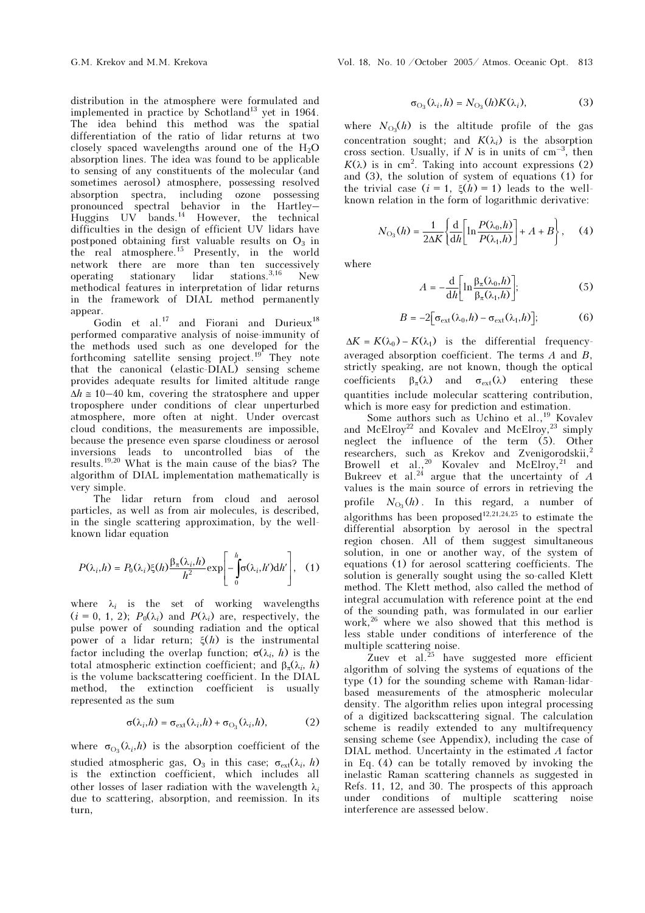distribution in the atmosphere were formulated and implemented in practice by Schotland<sup>13</sup> yet in 1964. The idea behind this method was the spatial differentiation of the ratio of lidar returns at two closely spaced wavelengths around one of the  $H_2O$ absorption lines. The idea was found to be applicable to sensing of any constituents of the molecular (and sometimes aerosol) atmosphere, possessing resolved absorption spectra, including ozone possessing pronounced spectral behavior in the Hartley– Huggins UV bands.<sup>14</sup> However, the technical difficulties in the design of efficient UV lidars have postponed obtaining first valuable results on  $O_3$  in the real atmosphere.<sup>15</sup> Presently, in the world network there are more than ten successively operating stationary lidar stations.<sup>3,16</sup> New methodical features in interpretation of lidar returns in the framework of DIAL method permanently appear.

Godin et al.<sup>17</sup> and Fiorani and Durieux<sup>18</sup> performed comparative analysis of noise-immunity of the methods used such as one developed for the forthcoming satellite sensing project.<sup>19</sup> They note that the canonical (elastic-DIAL) sensing scheme provides adequate results for limited altitude range  $\Delta h \approx 10-40$  km, covering the stratosphere and upper troposphere under conditions of clear unperturbed atmosphere, more often at night. Under overcast cloud conditions, the measurements are impossible, because the presence even sparse cloudiness or aerosol inversions leads to uncontrolled bias of the results.19,20 What is the main cause of the bias? The algorithm of DIAL implementation mathematically is very simple.

The lidar return from cloud and aerosol particles, as well as from air molecules, is described, in the single scattering approximation, by the wellknown lidar equation

$$
P(\lambda_i, h) = P_0(\lambda_i) \xi(h) \frac{\beta_\pi(\lambda_i, h)}{h^2} \exp\left[-\int_0^h \sigma(\lambda_i, h') \mathrm{d}h'\right], \quad (1)
$$

where  $\lambda_i$  is the set of working wavelengths  $(i = 0, 1, 2)$ ;  $P_0(\lambda_i)$  and  $P(\lambda_i)$  are, respectively, the pulse power of sounding radiation and the optical power of a lidar return;  $ξ(h)$  is the instrumental factor including the overlap function;  $\sigma(\lambda_i, h)$  is the total atmospheric extinction coefficient; and  $\beta_{\pi}(\lambda_i, h)$ is the volume backscattering coefficient. In the DIAL method, the extinction coefficient is usually represented as the sum

$$
\sigma(\lambda_i, h) = \sigma_{\text{ext}}(\lambda_i, h) + \sigma_{\text{O}_3}(\lambda_i, h), \tag{2}
$$

where  $\sigma_{\text{O}_3}(\lambda_i, h)$  is the absorption coefficient of the studied atmospheric gas, O<sub>3</sub> in this case;  $\sigma_{ext}(\lambda_i, h)$ is the extinction coefficient, which includes all other losses of laser radiation with the wavelength  $\lambda_i$ due to scattering, absorption, and reemission. In its turn,

$$
\sigma_{\text{O}_3}(\lambda_i, h) = N_{\text{O}_3}(h)K(\lambda_i),\tag{3}
$$

where  $N_{\text{O}_3}(h)$  is the altitude profile of the gas concentration sought; and  $K(\lambda_i)$  is the absorption cross section. Usually, if N is in units of  $cm^{-3}$ , then  $K(\lambda)$  is in cm<sup>2</sup>. Taking into account expressions (2) and (3), the solution of system of equations (1) for the trivial case  $(i = 1, \xi(h) = 1)$  leads to the wellknown relation in the form of logarithmic derivative:

$$
N_{\text{O}_3}(h) = \frac{1}{2\Delta K} \left\{ \frac{\mathrm{d}}{\mathrm{d}h} \left[ \ln \frac{P(\lambda_0, h)}{P(\lambda_1, h)} \right] + A + B \right\}, \quad (4)
$$

where

$$
A = -\frac{\mathrm{d}}{\mathrm{d}h} \left[ \ln \frac{\beta_{\pi}(\lambda_0, h)}{\beta_{\pi}(\lambda_1, h)} \right];\tag{5}
$$

$$
B = -2\left[\sigma_{\text{ext}}(\lambda_0, h) - \sigma_{\text{ext}}(\lambda_1, h)\right];\tag{6}
$$

 $\Delta K = K(\lambda_0) - K(\lambda_1)$  is the differential frequencyaveraged absorption coefficient. The terms  $A$  and  $B$ , strictly speaking, are not known, though the optical coefficients  $\beta_{\pi}(\lambda)$  and  $\sigma_{\text{ext}}(\lambda)$  entering these quantities include molecular scattering contribution, which is more easy for prediction and estimation.

Some authors such as Uchino et al.,<sup>19</sup> Kovalev and McElroy<sup>22</sup> and Kovalev and McElroy,<sup>23</sup> simply neglect the influence of the term (5). Other researchers, such as Krekov and Zvenigorodskii,<sup>2</sup> Browell et al.,<sup>20</sup> Kovalev and McElroy,<sup>21</sup> and Bukreev et al.<sup>24</sup> argue that the uncertainty of  $A$ values is the main source of errors in retrieving the profile  $N_{\text{O}_3}(h)$ . In this regard, a number of algorithms has been proposed<sup>12,21,24,25</sup> to estimate the differential absorption by aerosol in the spectral region chosen. All of them suggest simultaneous solution, in one or another way, of the system of equations (1) for aerosol scattering coefficients. The solution is generally sought using the so-called Klett method. The Klett method, also called the method of integral accumulation with reference point at the end of the sounding path, was formulated in our earlier work,<sup>26</sup> where we also showed that this method is less stable under conditions of interference of the

multiple scattering noise.<br>Zuev et al.<sup>25</sup> have suggested more efficient algorithm of solving the systems of equations of the type (1) for the sounding scheme with Raman-lidarbased measurements of the atmospheric molecular density. The algorithm relies upon integral processing of a digitized backscattering signal. The calculation scheme is readily extended to any multifrequency sensing scheme (see Appendix), including the case of DIAL method. Uncertainty in the estimated À factor in Eq. (4) can be totally removed by invoking the inelastic Raman scattering channels as suggested in Refs. 11, 12, and 30. The prospects of this approach under conditions of multiple scattering noise interference are assessed below.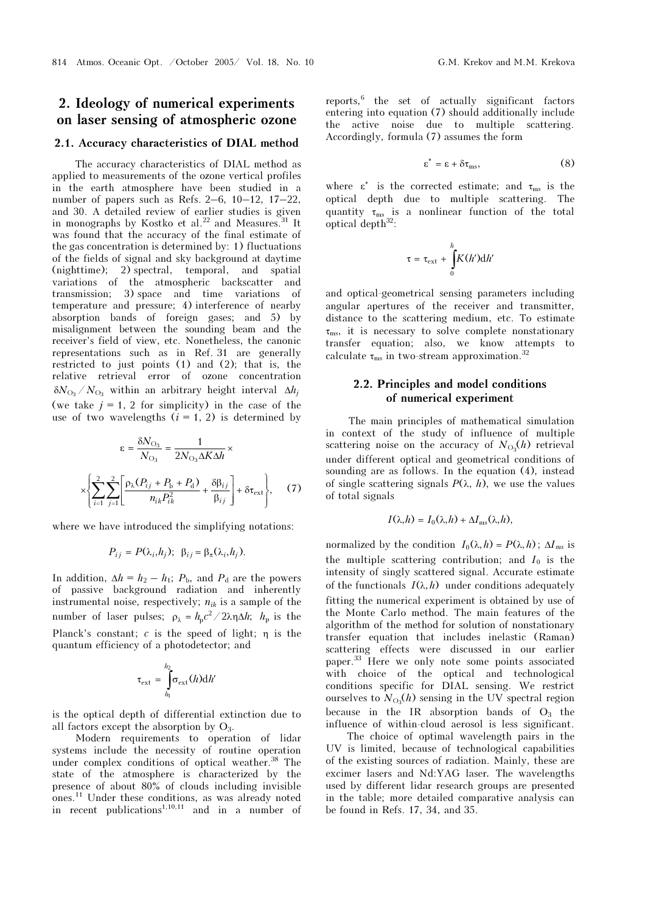# 2. Ideology of numerical experiments on laser sensing of atmospheric ozone

#### 2.1. Accuracy characteristics of DIAL method

The accuracy characteristics of DIAL method as applied to measurements of the ozone vertical profiles in the earth atmosphere have been studied in a number of papers such as Refs. 2–6, 10–12, 17–22, and 30. A detailed review of earlier studies is given in monographs by Kostko et al.<sup>22</sup> and Measures.<sup>31</sup> It was found that the accuracy of the final estimate of the gas concentration is determined by: 1) fluctuations of the fields of signal and sky background at daytime (nighttime); 2) spectral, temporal, and spatial variations of the atmospheric backscatter and transmission; 3) space and time variations of temperature and pressure; 4) interference of nearby absorption bands of foreign gases; and 5) by misalignment between the sounding beam and the receiver's field of view, etc. Nonetheless, the canonic representations such as in Ref. 31 are generally restricted to just points (1) and (2); that is, the relative retrieval error of ozone concentration  $\delta N_{\rm O}_3 / N_{\rm O}_3$  within an arbitrary height interval  $\Delta h_i$ (we take  $j = 1, 2$  for simplicity) in the case of the use of two wavelengths  $(i = 1, 2)$  is determined by

$$
\varepsilon = \frac{\delta N_{\text{O}_3}}{N_{\text{O}_3}} = \frac{1}{2N_{\text{O}_3}\Delta K \Delta h} \times \left[ \sum_{i=1}^2 \sum_{j=1}^2 \left[ \frac{\rho_\lambda (P_{ij} + P_b + P_d)}{n_{ik} P_{ik}^2} + \frac{\delta \beta_{ij}}{\beta_{ij}} \right] + \delta \tau_{\text{ext}} \right], \quad (7)
$$

where we have introduced the simplifying notations:

$$
P_{ij} = P(\lambda_i, h_j); \ \beta_{ij} = \beta_{\pi}(\lambda_i, h_j).
$$

In addition,  $\Delta h = h_2 - h_1$ ;  $P_{\rm b}$ , and  $P_{\rm d}$  are the powers of passive background radiation and inherently instrumental noise, respectively;  $n_{ik}$  is a sample of the number of laser pulses;  $\rho_{\lambda} = h_p c^2 / 2 \lambda \eta \Delta h$ ;  $h_p$  is the Planck's constant;  $c$  is the speed of light;  $\eta$  is the quantum efficiency of a photodetector; and

$$
\tau_{\mathrm{ext}} = \int_{h_{\mathrm{l}}}^{h_{\mathrm{2}}} \sigma_{\mathrm{ext}}(h) \mathrm{d}h'
$$

is the optical depth of differential extinction due to all factors except the absorption by  $O_3$ .

Modern requirements to operation of lidar systems include the necessity of routine operation under complex conditions of optical weather.<sup>38</sup> The state of the atmosphere is characterized by the presence of about 80% of clouds including invisible ones.<sup>11</sup> Under these conditions, as was already noted in recent publications<sup>1,10,11</sup> and in a number of

reports,<sup>6</sup> the set of actually significant factors entering into equation (7) should additionally include the active noise due to multiple scattering. Accordingly, formula (7) assumes the form

$$
\varepsilon^* = \varepsilon + \delta \tau_{\text{ms}}, \tag{8}
$$

where  $\varepsilon^*$  is the corrected estimate; and  $\tau_{\text{ms}}$  is the optical depth due to multiple scattering. The quantity  $\tau_{\text{ms}}$  is a nonlinear function of the total optical depth<sup>32</sup>:

$$
\tau = \tau_{ext} + \int_{0}^{h} K(h') dh'
$$

and optical-geometrical sensing parameters including angular apertures of the receiver and transmitter, distance to the scattering medium, etc. To estimate  $\tau_{\text{ms}}$ , it is necessary to solve complete nonstationary transfer equation; also, we know attempts to calculate  $\tau_{\text{ms}}$  in two-stream approximation.<sup>32</sup>

### 2.2. Principles and model conditions of numerical experiment

The main principles of mathematical simulation in context of the study of influence of multiple scattering noise on the accuracy of  $N_{\text{O}_3}(h)$  retrieval under different optical and geometrical conditions of sounding are as follows. In the equation (4), instead of single scattering signals  $P(\lambda, h)$ , we use the values of total signals

$$
I(\lambda, h) = I_0(\lambda, h) + \Delta I_{\text{ms}}(\lambda, h),
$$

normalized by the condition  $I_0(\lambda, h) = P(\lambda, h)$ ;  $\Delta I_{ms}$  is the multiple scattering contribution; and  $I_0$  is the intensity of singly scattered signal. Accurate estimate of the functionals  $I(\lambda, h)$  under conditions adequately fitting the numerical experiment is obtained by use of the Monte Carlo method. The main features of the algorithm of the method for solution of nonstationary transfer equation that includes inelastic (Raman) scattering effects were discussed in our earlier paper.<sup>33</sup> Here we only note some points associated with choice of the optical and technological conditions specific for DIAL sensing. We restrict ourselves to  $N_{\text{O}_3}(h)$  sensing in the UV spectral region because in the IR absorption bands of  $O<sub>3</sub>$  the influence of within-cloud aerosol is less significant.

 The choice of optimal wavelength pairs in the UV is limited, because of technological capabilities of the existing sources of radiation. Mainly, these are excimer lasers and Nd:YAG laser. The wavelengths used by different lidar research groups are presented in the table; more detailed comparative analysis can be found in Refs. 17, 34, and 35.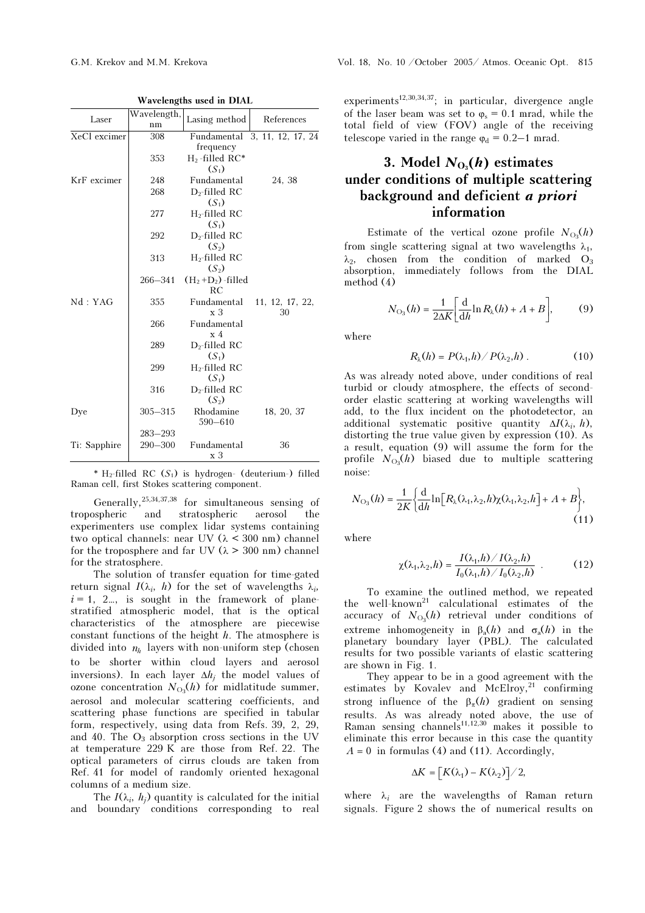| Wavelengths used in DIAL |                   |                                  |                               |
|--------------------------|-------------------|----------------------------------|-------------------------------|
| Laser                    | Wavelength,<br>nm | Lasing method                    | References                    |
| XeCl excimer             | 308               |                                  | Fundamental 3, 11, 12, 17, 24 |
| KrF excimer<br>Nd:YAG    |                   | frequency                        |                               |
|                          | 353               | $H_2$ -filled RC*                |                               |
|                          |                   | $(S_1)$                          |                               |
|                          | 248               | Fundamental                      | 24, 38                        |
|                          | 268               | $D_2$ -filled RC                 |                               |
|                          |                   | $(S_1)$                          |                               |
|                          | 277               | $H_2$ -filled RC                 |                               |
|                          |                   | $(S_1)$                          |                               |
|                          | 292               | $D_2$ -filled RC                 |                               |
|                          |                   | $(S_2)$                          |                               |
|                          | 313               | $H_2$ -filled RC                 |                               |
|                          |                   | $(S_2)$                          |                               |
|                          | $266 - 341$       | $(H_2+D_2)$ -filled<br><b>RC</b> |                               |
|                          | 355               | Fundamental<br>x <sub>3</sub>    | 11, 12, 17, 22,<br>30         |
|                          | 266               | Fundamental<br>$\rm x$ 4         |                               |
|                          | 289               | $D_2$ -filled RC<br>$(S_1)$      |                               |
|                          | 299               | $H_2$ -filled RC<br>$(S_1)$      |                               |
|                          | 316               | $D_2$ -filled RC<br>$(S_2)$      |                               |
| Dye                      | $305 - 315$       | Rhodamine<br>$590 - 610$         | 18, 20, 37                    |
|                          | $283 - 293$       |                                  |                               |
| Ti: Sapphire             | $290 - 300$       | Fundamental<br>х3                | 36                            |

 $\mathbf{E}$  with  $\mathbf{E}$ 

\* H<sub>2</sub>-filled RC  $(S_1)$  is hydrogen- (deuterium-) filled Raman cell, first Stokes scattering component.

Generally,25,34,37,38 for simultaneous sensing of tropospheric and stratospheric aerosol the experimenters use complex lidar systems containing two optical channels: near UV  $(\lambda < 300 \text{ nm})$  channel for the troposphere and far UV ( $\lambda > 300$  nm) channel for the stratosphere.

The solution of transfer equation for time-gated return signal  $I(\lambda_i, h)$  for the set of wavelengths  $\lambda_i$ ,  $i = 1, 2...$ , is sought in the framework of planestratified atmospheric model, that is the optical characteristics of the atmosphere are piecewise constant functions of the height  $h$ . The atmosphere is divided into  $n<sub>b</sub>$  layers with non-uniform step (chosen to be shorter within cloud layers and aerosol inversions). In each layer  $\Delta h_i$  the model values of ozone concentration  $N_{\text{O}_3}(h)$  for midlatitude summer, aerosol and molecular scattering coefficients, and scattering phase functions are specified in tabular form, respectively, using data from Refs. 39, 2, 29, and 40. The  $O_3$  absorption cross sections in the UV at temperature 229 K are those from Ref. 22. The optical parameters of cirrus clouds are taken from Ref. 41 for model of randomly oriented hexagonal columns of a medium size.

The  $I(\lambda_i, h_i)$  quantity is calculated for the initial and boundary conditions corresponding to real

experiments<sup>12,30,34,37</sup>; in particular, divergence angle of the laser beam was set to  $\varphi_s = 0.1$  mrad, while the total field of view (FOV) angle of the receiving telescope varied in the range  $\varphi_d = 0.2{\text{--}}1$  mrad.

# 3. Model  $N_{\text{O}_3}(h)$  estimates under conditions of multiple scattering background and deficient a priori information

Estimate of the vertical ozone profile  $N_{\text{O}_3}(h)$ from single scattering signal at two wavelengths  $\lambda_1$ ,  $\lambda_2$ , chosen from the condition of marked  $O_3$ absorption, immediately follows from the DIAL method (4)

$$
N_{\text{O}_3}(h) = \frac{1}{2\Delta K} \left[ \frac{\text{d}}{\text{d}h} \ln R_{\lambda}(h) + A + B \right],\tag{9}
$$

where

$$
R_{\lambda}(h) = P(\lambda_1, h) / P(\lambda_2, h) . \qquad (10)
$$

As was already noted above, under conditions of real turbid or cloudy atmosphere, the effects of secondorder elastic scattering at working wavelengths will add, to the flux incident on the photodetector, an additional systematic positive quantity  $\Delta I(\lambda_i, h)$ , distorting the true value given by expression (10). As a result, equation (9) will assume the form for the profile  $N_{\text{O}_3}(h)$  biased due to multiple scattering noise:

$$
N_{\text{O}_3}(h) = \frac{1}{2K} \left\{ \frac{\mathrm{d}}{\mathrm{d}h} \ln \left[ R_{\lambda}(\lambda_1, \lambda_2, h) \chi(\lambda_1, \lambda_2, h) \right] + A + B \right\},\tag{11}
$$

where

$$
\chi(\lambda_1, \lambda_2, h) = \frac{I(\lambda_1, h) / I(\lambda_2, h)}{I_0(\lambda_1, h) / I_0(\lambda_2, h)} \tag{12}
$$

To examine the outlined method, we repeated the well-known<sup>21</sup> calculational estimates of the accuracy of  $N_{\text{O}_3}(h)$  retrieval under conditions of extreme inhomogeneity in  $\beta_a(h)$  and  $\sigma_a(h)$  in the planetary boundary layer (PBL). The calculated results for two possible variants of elastic scattering are shown in Fig. 1.

They appear to be in a good agreement with the estimates by Kovalev and McElroy,<sup>21</sup> confirming strong influence of the  $\beta_{\pi}(h)$  gradient on sensing results. As was already noted above, the use of<br>Raman sensing channels<sup>11,12,30</sup> makes it possible to eliminate this error because in this case the quantity  $A = 0$  in formulas (4) and (11). Accordingly,

$$
\Delta K = [K(\lambda_1) - K(\lambda_2)]/2,
$$

where  $\lambda_i$  are the wavelengths of Raman return signals. Figure 2 shows the of numerical results on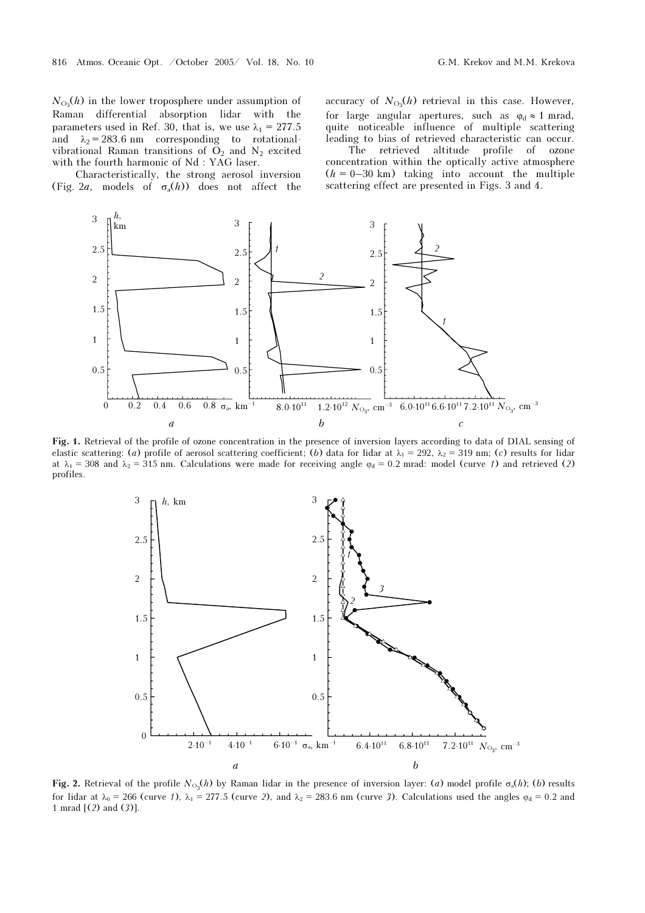$N_{\text{O}_3}(h)$  in the lower troposphere under assumption of Raman differential absorption lidar with the parameters used in Ref. 30, that is, we use  $\lambda_1 = 277.5$ and  $\lambda_2 = 283.6$  nm corresponding to rotationalvibrational Raman transitions of  $O_2$  and  $N_2$  excited with the fourth harmonic of Nd : YAG laser.

Characteristically, the strong aerosol inversion (Fig. 2*a*, models of  $\sigma_a(h)$ ) does not affect the

accuracy of  $N_{\text{O}_3}(h)$  retrieval in this case. However, for large angular apertures, such as  $\varphi_d \approx 1$  mrad, quite noticeable influence of multiple scattering leading to bias of retrieved characteristic can occur.

 The retrieved altitude profile of ozone concentration within the optically active atmosphere  $(h = 0-30 \text{ km})$  taking into account the multiple scattering effect are presented in Figs. 3 and 4.



Fig. 1. Retrieval of the profile of ozone concentration in the presence of inversion layers according to data of DIAL sensing of elastic scattering: (a) profile of aerosol scattering coefficient; (b) data for lidar at  $\lambda_1 = 292$ ,  $\lambda_2 = 319$  nm; (c) results for lidar at  $\lambda_1 = 308$  and  $\lambda_2 = 315$  nm. Calculations were made for receiving angle  $\varphi_d = 0.2$  mrad: model (curve 1) and retrieved (2) profiles.



Fig. 2. Retrieval of the profile  $N_{\text{O}_3}(h)$  by Raman lidar in the presence of inversion layer: (a) model profile  $\sigma_a(h)$ ; (b) results for lidar at  $\lambda_0 = 266$  (curve 1),  $\lambda_1 = 277.5$  (curve 2), and  $\lambda_2 = 283.6$  nm (curve 3). Calculations used the angles  $\varphi_d = 0.2$  and 1 mrad [(2) and (3)].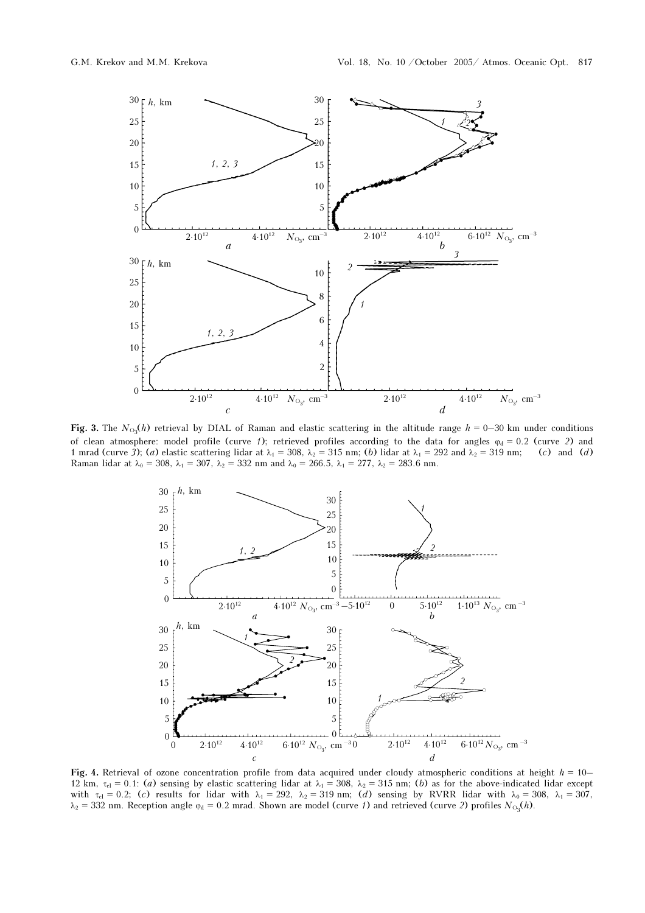

Fig. 3. The  $N_{\text{O}_3}(h)$  retrieval by DIAL of Raman and elastic scattering in the altitude range  $h = 0-30$  km under conditions of clean atmosphere: model profile (curve 1); retrieved profiles according to the data for angles  $\varphi_d = 0.2$  (curve 2) and 1 mrad (curve 3); (a) elastic scattering lidar at  $\lambda_1 = 308$ ,  $\lambda_2 = 315$  nm; (b) lidar at  $\lambda_1 = 292$  and  $\lambda_2 = 319$  nm; (c) and (d) Raman lidar at  $\lambda_0 = 308$ ,  $\lambda_1 = 307$ ,  $\lambda_2 = 332$  nm and  $\lambda_0 = 266.5$ ,  $\lambda_1 = 277$ ,  $\lambda_2 = 283.6$  nm.



Fig. 4. Retrieval of ozone concentration profile from data acquired under cloudy atmospheric conditions at height  $h = 10-$ 12 km,  $\tau_{cl} = 0.1$ : (a) sensing by elastic scattering lidar at  $\lambda_1 = 308$ ,  $\lambda_2 = 315$  nm; (b) as for the above-indicated lidar except with  $\tau_{cl} = 0.2$ ; (c) results for lidar with  $\lambda_1 = 292$ ,  $\lambda_2 = 319$  nm; (d) sensing by RVRR lidar with  $\lambda_0 = 308$ ,  $\lambda_1 = 307$ ,  $\lambda_2 = 332$  nm. Reception angle  $\varphi_d = 0.2$  mrad. Shown are model (curve 1) and retrieved (curve 2) profiles  $N_{\text{O}_3}(h)$ .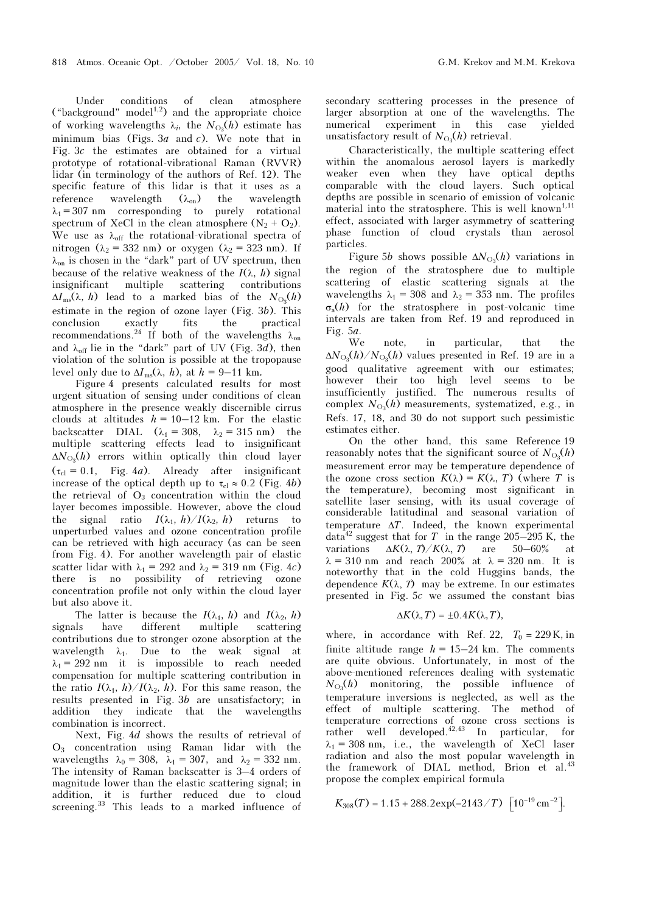Under conditions of clean atmosphere ("background" model $1,2$ ) and the appropriate choice of working wavelengths  $\lambda_i$ , the  $N_{\text{O}_3}(h)$  estimate has minimum bias (Figs. 3*a* and *c*). We note that in Fig. 3c the estimates are obtained for a virtual prototype of rotational-vibrational Raman (RVVR) lidar (in terminology of the authors of Ref. 12). The specific feature of this lidar is that it uses as a reference wavelength  $(\lambda_{on})$  the wavelength  $\lambda_1 = 307$  nm corresponding to purely rotational spectrum of XeCl in the clean atmosphere  $(N_2 + O_2)$ . We use as  $\lambda_{\text{off}}$  the rotational-vibrational spectra of nitrogen ( $\lambda_2$  = 332 nm) or oxygen ( $\lambda_2$  = 323 nm). If  $\lambda_{\text{on}}$  is chosen in the "dark" part of UV spectrum, then because of the relative weakness of the  $I(\lambda, h)$  signal insignificant multiple scattering contributions  $\Delta I_{\text{ms}}(\lambda, h)$  lead to a marked bias of the  $N_{\text{O}_3}(h)$ estimate in the region of ozone layer (Fig. 3b). This conclusion exactly fits the practical recommendations.<sup>24</sup> If both of the wavelengths  $\lambda_{on}$ and  $\lambda_{off}$  lie in the "dark" part of UV (Fig. 3d), then violation of the solution is possible at the tropopause level only due to  $\Delta I_{\text{ms}}(\lambda, h)$ , at  $h = 9-11$  km.

Figure 4 presents calculated results for most urgent situation of sensing under conditions of clean atmosphere in the presence weakly discernible cirrus clouds at altitudes  $h = 10-12$  km. For the elastic backscatter DIAL  $(\lambda_1 = 308, \lambda_2 = 315 \text{ nm})$  the multiple scattering effects lead to insignificant  $\Delta N_{\text{O}_3}(h)$  errors within optically thin cloud layer  $(\tau_{c} = 0.1,$  Fig. 4*a*). Already after insignificant increase of the optical depth up to  $\tau_{c} \approx 0.2$  (Fig. 4b) the retrieval of  $O_3$  concentration within the cloud layer becomes impossible. However, above the cloud the signal ratio  $I(\lambda_1, h)/I(\lambda_2, h)$  returns to unperturbed values and ozone concentration profile can be retrieved with high accuracy (as can be seen from Fig. 4). For another wavelength pair of elastic scatter lidar with  $\lambda_1 = 292$  and  $\lambda_2 = 319$  nm (Fig. 4c) there is no possibility of retrieving ozone concentration profile not only within the cloud layer but also above it.

The latter is because the  $I(\lambda_1, h)$  and  $I(\lambda_2, h)$ signals have different multiple scattering contributions due to stronger ozone absorption at the wavelength  $\lambda_1$ . Due to the weak signal at  $\lambda_1 = 292$  nm it is impossible to reach needed compensation for multiple scattering contribution in the ratio  $I(\lambda_1, h)/I(\lambda_2, h)$ . For this same reason, the results presented in Fig. 3b are unsatisfactory; in addition they indicate that the wavelengths combination is incorrect.

Next, Fig. 4d shows the results of retrieval of  $O_3$  concentration using Raman lidar with the wavelengths  $\lambda_0 = 308$ ,  $\lambda_1 = 307$ , and  $\lambda_2 = 332$  nm. The intensity of Raman backscatter is 3–4 orders of magnitude lower than the elastic scattering signal; in addition, it is further reduced due to cloud screening.<sup>33</sup> This leads to a marked influence of secondary scattering processes in the presence of larger absorption at one of the wavelengths. The numerical experiment in this case yielded unsatisfactory result of  $N_{\text{O}_3}(h)$  retrieval.

Characteristically, the multiple scattering effect within the anomalous aerosol layers is markedly weaker even when they have optical depths comparable with the cloud layers. Such optical depths are possible in scenario of emission of volcanic material into the stratosphere. This is well known<sup>1,11</sup> effect, associated with larger asymmetry of scattering phase function of cloud crystals than aerosol particles.

Figure 5b shows possible  $\Delta N_{\text{O}_3}(h)$  variations in the region of the stratosphere due to multiple scattering of elastic scattering signals at the wavelengths  $\lambda_1 = 308$  and  $\lambda_2 = 353$  nm. The profiles  $\sigma_{\rm s}(h)$  for the stratosphere in post-volcanic time intervals are taken from Ref. 19 and reproduced in Fig.  $5a$ .

We note, in particular, that the  $\Delta N_{\text{O}_3}(h)/N_{\text{O}_3}(h)$  values presented in Ref. 19 are in a good qualitative agreement with our estimates; however their too high level seems to be insufficiently justified. The numerous results of complex  $N_{\text{O}_3}(h)$  measurements, systematized, e.g., in Refs. 17, 18, and 30 do not support such pessimistic estimates either.

On the other hand, this same Reference 19 reasonably notes that the significant source of  $N_{\text{O}_3}(h)$ measurement error may be temperature dependence of the ozone cross section  $K(\lambda) = K(\lambda, T)$  (where T is the temperature), becoming most significant in satellite laser sensing, with its usual coverage of considerable latitudinal and seasonal variation of temperature  $\Delta T$ . Indeed, the known experimental data<sup>42</sup> suggest that for T in the range 205–295 K, the variations  $\Delta K(\lambda, T)/K(\lambda, T)$  are 50–60% at  $\lambda = 310$  nm and reach 200% at  $\lambda = 320$  nm. It is noteworthy that in the cold Huggins bands, the dependence  $K(\lambda, T)$  may be extreme. In our estimates presented in Fig. 5c we assumed the constant bias

$$
\Delta K(\lambda, T) = \pm 0.4 K(\lambda, T),
$$

where, in accordance with Ref. 22,  $T_0 = 229$  K, in finite altitude range  $h = 15-24$  km. The comments are quite obvious. Unfortunately, in most of the above-mentioned references dealing with systematic  $N_{\text{O}_3}(h)$  monitoring, the possible influence of temperature inversions is neglected, as well as the effect of multiple scattering. The method of temperature corrections of ozone cross sections is rather well developed. $^{42,43}$  In particular, for  $\lambda_1 = 308$  nm, i.e., the wavelength of XeCl laser radiation and also the most popular wavelength in the framework of DIAL method, Brion et al.<sup>43</sup><br>propose the complex empirical formula<br> $K_{308}(T) = 1.15 + 288.2 \exp(-2143/T) \left[10^{-19} \text{ cm}^{-2}\right]$ . propose the complex empirical formula

$$
K_{308}(T) = 1.15 + 288.2 \exp(-2143/T) \left[10^{-19} \text{ cm}^{-2}\right].
$$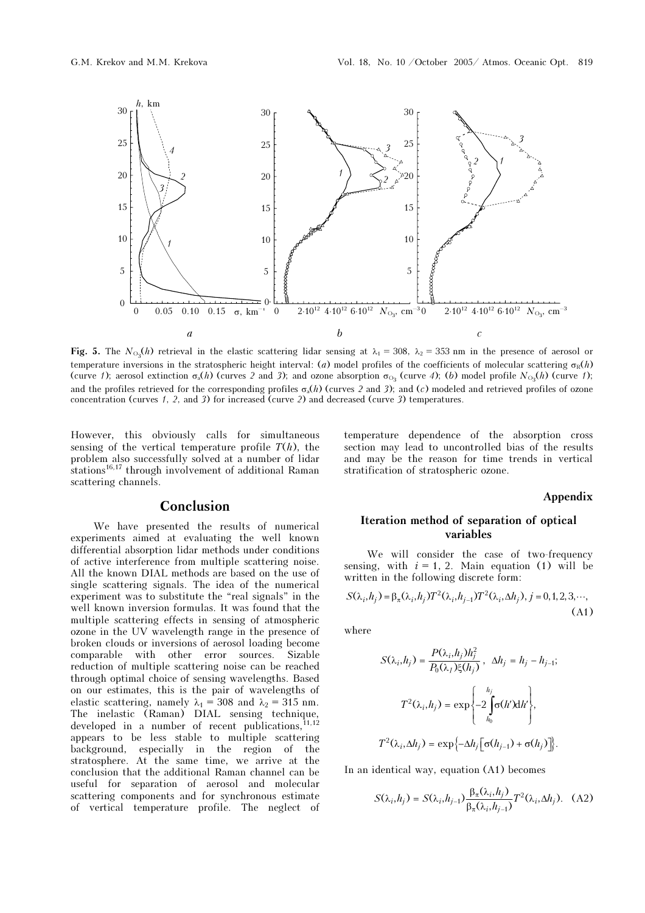

Fig. 5. The  $N_{\text{O}_3}(h)$  retrieval in the elastic scattering lidar sensing at  $\lambda_1 = 308$ ,  $\lambda_2 = 353$  nm in the presence of aerosol or temperature inversions in the stratospheric height interval: (a) model profiles of the coefficients of molecular scattering  $\sigma_R(h)$ (curve 1); aerosol extinction  $\sigma_a(h)$  (curves 2 and 3); and ozone absorption  $\sigma_{O_3}$  (curve 4); (b) model profile  $N_{O_3}(h)$  (curve 1); and the profiles retrieved for the corresponding profiles  $\sigma_a(h)$  (curves 2 and 3); and (c) modeled and retrieved profiles of ozone concentration (curves 1, 2, and 3) for increased (curve 2) and decreased (curve 3) temperatures.

However, this obviously calls for simultaneous sensing of the vertical temperature profile  $T(h)$ , the problem also successfully solved at a number of lidar stations<sup>16,17</sup> through involvement of additional Raman scattering channels.

## Conclusion

We have presented the results of numerical experiments aimed at evaluating the well known differential absorption lidar methods under conditions of active interference from multiple scattering noise. All the known DIAL methods are based on the use of single scattering signals. The idea of the numerical experiment was to substitute the "real signals" in the well known inversion formulas. It was found that the multiple scattering effects in sensing of atmospheric ozone in the UV wavelength range in the presence of broken clouds or inversions of aerosol loading become comparable with other error sources. Sizable reduction of multiple scattering noise can be reached through optimal choice of sensing wavelengths. Based on our estimates, this is the pair of wavelengths of elastic scattering, namely  $\lambda_1 = 308$  and  $\lambda_2 = 315$  nm. The inelastic (Raman) DIAL sensing technique, developed in a number of recent publications,  $11,12$ appears to be less stable to multiple scattering background, especially in the region of the stratosphere. At the same time, we arrive at the conclusion that the additional Raman channel can be useful for separation of aerosol and molecular scattering components and for synchronous estimate of vertical temperature profile. The neglect of

temperature dependence of the absorption cross section may lead to uncontrolled bias of the results and may be the reason for time trends in vertical stratification of stratospheric ozone.

### Appendix

### Iteration method of separation of optical variables

We will consider the case of two-frequency sensing, with  $i = 1, 2$ . Main equation (1) will be

written in the following discrete form:  
\n
$$
S(\lambda_i, h_j) = \beta_\pi(\lambda_i, h_j) T^2(\lambda_i, h_{j-1}) T^2(\lambda_i, \Delta h_j), j = 0, 1, 2, 3, \cdots,
$$
\n(A1)

where

$$
S(\lambda_i, h_j) = \frac{P(\lambda_i, h_j)h_j^2}{P_0(\lambda_i)\xi(h_j)}, \quad \Delta h_j = h_j - h_{j-1};
$$

$$
T^2(\lambda_i, h_j) = \exp\left\{-2\int_{h_0}^{h_j} \sigma(h')dh'\right\},
$$

$$
T^2(\lambda_i, \Delta h_j) = \exp\left\{-\Delta h_j \left[\sigma(h_{j-1}) + \sigma(h_j)\right]\right\}.
$$

In an identical way, equation (A1) becomes

$$
S(\lambda_i, h_j) = S(\lambda_i, h_{j-1}) \frac{\beta_{\pi}(\lambda_i, h_j)}{\beta_{\pi}(\lambda_i, h_{j-1})} T^2(\lambda_i, \Delta h_j). \quad (A2)
$$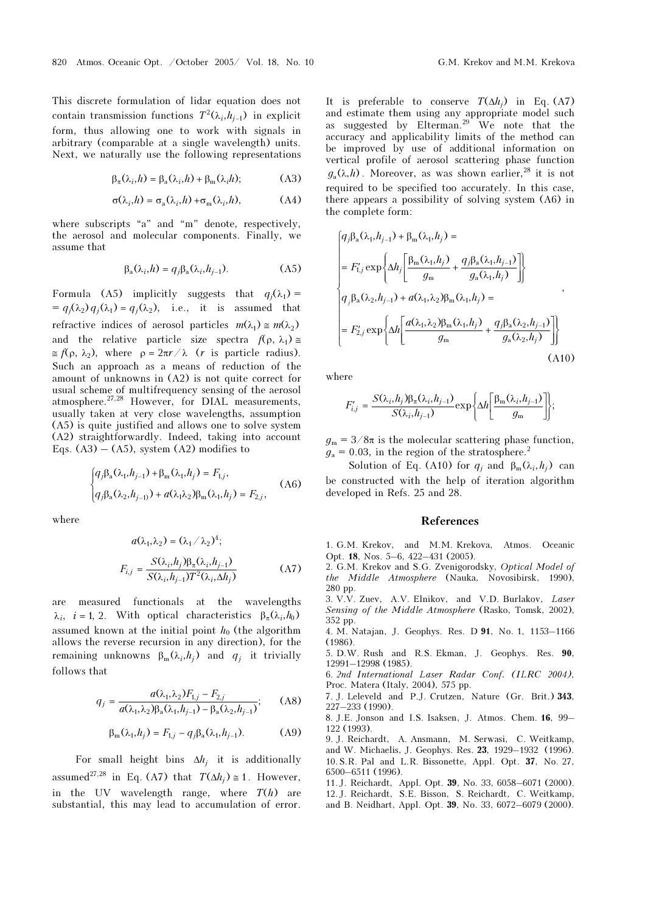This discrete formulation of lidar equation does not This discrete formulation of lidar equation does not contain transmission functions  $T^2(\lambda_i, h_{j-1})$  in explicit form, thus allowing one to work with signals in arbitrary (comparable at a single wavelength) units. Next, we naturally use the following representations

$$
\beta_{\pi}(\lambda_i, h) = \beta_{\text{a}}(\lambda_i, h) + \beta_{\text{m}}(\lambda_i, h); \tag{A3}
$$

$$
\sigma(\lambda_i, h) = \sigma_a(\lambda_i, h) + \sigma_m(\lambda_i, h), \tag{A4}
$$

where subscripts "a" and "m" denote, respectively, the aerosol and molecular components. Finally, we assume that<br>  $\beta_a(\lambda_i, h) = q_j \beta_a(\lambda_i, h_{j-1}).$  (A5) assume that

$$
\beta_{a}(\lambda_{i}, h) = q_{i}\beta_{a}(\lambda_{i}, h_{i-1}).
$$
 (A5)

Formula (A5) implicitly suggests that  $q_i(\lambda_1)$  =  $=q_i(\lambda_2) q_i(\lambda_1) = q_i(\lambda_2)$ , i.e., it is assumed that refractive indices of aerosol particles  $m(\lambda_1) \approx m(\lambda_2)$ and the relative particle size spectra  $f(\rho, \lambda_1) \approx$  $\approx f(\rho, \lambda_2)$ , where  $\rho = 2\pi r / \lambda$  (*r* is particle radius). Such an approach as a means of reduction of the amount of unknowns in (A2) is not quite correct for usual scheme of multifrequency sensing of the aerosol atmosphere.<sup>27,28</sup> However, for DIAL measurements, usually taken at very close wavelengths, assumption (A5) is quite justified and allows one to solve system (A2) straightforwardly. Indeed, taking into account Eqs.  $(A3) - (A5)$ , system  $(A2)$  modifies to

$$
\begin{cases}\n q_j \beta_a(\lambda_1, h_{j-1}) + \beta_m(\lambda_1, h_j) = F_{1,j}, \\
 q_j \beta_a(\lambda_2, h_{j-1}) + a(\lambda_1 \lambda_2) \beta_m(\lambda_1, h_j) = F_{2,j},\n\end{cases}
$$
\n(A6)

where

$$
a(\lambda_1, \lambda_2) = (\lambda_1 / \lambda_2)^4;
$$
  

$$
F_{i,j} = \frac{S(\lambda_i, h_j)\beta_\pi(\lambda_i, h_{j-1})}{S(\lambda_i, h_{j-1})T^2(\lambda_i, \Delta h_j)}
$$
(A7)

are measured functionals at the wavelengths  $\lambda_i$ ,  $i = 1, 2$ . With optical characteristics  $\beta_\pi(\lambda_i, h_0)$ assumed known at the initial point  $h_0$  (the algorithm allows the reverse recursion in any direction), for the remaining unknowns  $β<sub>m</sub>(λ<sub>i</sub>,h<sub>j</sub>)$  and  $q<sub>j</sub>$  it trivially follows that

$$
q_{j} = \frac{a(\lambda_{1}, \lambda_{2})F_{1,j} - F_{2,j}}{a(\lambda_{1}, \lambda_{2})\beta_{a}(\lambda_{1}, h_{j-1}) - \beta_{a}(\lambda_{2}, h_{j-1})};
$$
 (A8)  

$$
\beta_{m}(\lambda_{1}, h_{j}) = F_{1,j} - q_{j}\beta_{a}(\lambda_{1}, h_{j-1}).
$$
 (A9)

$$
\beta_{m}(\lambda_{1}, h_{j}) = F_{1,j} - q_{j}\beta_{a}(\lambda_{1}, h_{j-1}).
$$
 (A9)

For small height bins  $\Delta h_i$  it is additionally assumed<sup>27,28</sup> in Eq. (A7) that  $T(\Delta h_i) \approx 1$ . However, in the UV wavelength range, where  $T(h)$  are substantial, this may lead to accumulation of error. It is preferable to conserve  $T(\Delta h_i)$  in Eq. (A7) and estimate them using any appropriate model such as suggested by Elterman.<sup>29</sup> We note that the accuracy and applicability limits of the method can be improved by use of additional information on vertical profile of aerosol scattering phase function  $g_a(\lambda,h)$ . Moreover, as was shown earlier,<sup>28</sup> it is not required to be specified too accurately. In this case, there appears a possibility of solving system (A6) in the complete form:

$$
\begin{cases}\n q_j \beta_a(\lambda_1, h_{j-1}) + \beta_m(\lambda_1, h_j) = \\
= F'_{1,j} \exp \left\{ \Delta h_j \left[ \frac{\beta_m(\lambda_1, h_j)}{g_m} + \frac{q_j \beta_a(\lambda_1, h_{j-1})}{g_a(\lambda_1, h_j)} \right] \right\} \\
q_j \beta_a(\lambda_2, h_{j-1}) + a(\lambda_1, \lambda_2) \beta_m(\lambda_1, h_j) = \\
= F'_{2,j} \exp \left\{ \Delta h \left[ \frac{a(\lambda_1, \lambda_2) \beta_m(\lambda_1, h_j)}{g_m} + \frac{q_j \beta_a(\lambda_2, h_{j-1})}{g_a(\lambda_2, h_j)} \right] \right\}\n\end{cases} \tag{A10}
$$

where

$$
F'_{i,j} = \frac{S(\lambda_i, h_j) \beta_{\pi}(\lambda_i, h_{j-1})}{S(\lambda_i, h_{j-1})} \exp \left\{ \Delta h \left[ \frac{\beta_{\rm m}(\lambda_i, h_{j-1})}{g_{\rm m}} \right] \right\};
$$

 $g_m = 3/8\pi$  is the molecular scattering phase function,  $g_a = 0.03$ , in the region of the stratosphere.<sup>2</sup>

Solution of Eq. (A10) for  $q_i$  and  $\beta_m(\lambda_i, h_i)$  can be constructed with the help of iteration algorithm developed in Refs. 25 and 28.

#### References

1. G.M. Krekov, and M.M. Krekova, Atmos. Oceanic Opt. 18, Nos. 5–6, 422–431 (2005).

2. G.M. Krekov and S.G. Zvenigorodsky, Optical Model of the Middle Atmosphere (Nauka, Novosibirsk, 1990), 280 pp.

3. V.V. Zuev, A.V. Elnikov, and V.D. Burlakov, Laser Sensing of the Middle Atmosphere (Rasko, Tomsk, 2002), 352 pp.

4. M. Natajan, J. Geophys. Res. D 91, No. 1, 1153–1166 (1986).

5. D.W. Rush and R.S. Ekman, J. Geophys. Res. 90, 12991–12998 (1985).

6. 2nd International Laser Radar Conf. (ILRC 2004), Proc. Matera (Italy, 2004), 575 pp.

7. J. Leleveld and P.J. Crutzen, Nature (Gr. Brit.) 343, 227–233 (1990).

8. J.E. Jonson and I.S. Isaksen, J. Atmos. Chem. 16, 99– 122 (1993).

9. J. Reichardt, A. Ansmann, M. Serwasi, C. Weitkamp, and W. Michaelis, J. Geophys. Res. 23, 1929–1932 (1996). 10.S.R. Pal and L.R. Bissonette, Appl. Opt. 37, No. 27, 6500–6511 (1996).

11. J. Reichardt, Appl. Opt. 39, No. 33, 6058–6071 (2000). 12. J. Reichardt, S.E. Bisson, S. Reichardt, C. Weitkamp, and B. Neidhart, Appl. Opt. 39, No. 33, 6072–6079 (2000).